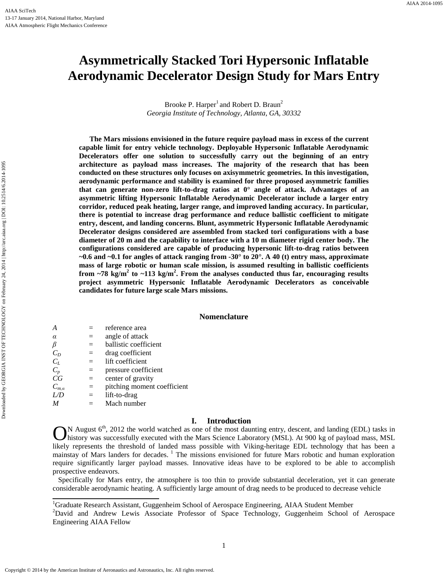# **Asymmetrically Stacked Tori Hypersonic Inflatable Aerodynamic Decelerator Design Study for Mars Entry**

Brooke P. Harper<sup>1</sup> and Robert D. Braun<sup>2</sup> *Georgia Institute of Technology, Atlanta, GA, 30332*

**The Mars missions envisioned in the future require payload mass in excess of the current capable limit for entry vehicle technology. Deployable Hypersonic Inflatable Aerodynamic Decelerators offer one solution to successfully carry out the beginning of an entry architecture as payload mass increases. The majority of the research that has been conducted on these structures only focuses on axisymmetric geometries. In this investigation, aerodynamic performance and stability is examined for three proposed asymmetric families that can generate non-zero lift-to-drag ratios at 0° angle of attack. Advantages of an asymmetric lifting Hypersonic Inflatable Aerodynamic Decelerator include a larger entry corridor, reduced peak heating, larger range, and improved landing accuracy. In particular, there is potential to increase drag performance and reduce ballistic coefficient to mitigate entry, descent, and landing concerns. Blunt, asymmetric Hypersonic Inflatable Aerodynamic Decelerator designs considered are assembled from stacked tori configurations with a base diameter of 20 m and the capability to interface with a 10 m diameter rigid center body. The configurations considered are capable of producing hypersonic lift-to-drag ratios between ~0.6 and ~0.1 for angles of attack ranging from -30° to 20°. A 40 (t) entry mass, approximate mass of large robotic or human scale mission, is assumed resulting in ballistic coefficients from ~78 kg/m<sup>2</sup> to ~113 kg/m<sup>2</sup> . From the analyses conducted thus far, encouraging results project asymmetric Hypersonic Inflatable Aerodynamic Decelerators as conceivable candidates for future large scale Mars missions.**

# **Nomenclature**

| $\overline{A}$ |     | reference area              |
|----------------|-----|-----------------------------|
| $\alpha$       |     | angle of attack             |
| β              | $=$ | ballistic coefficient       |
| $C_D$          | $=$ | drag coefficient            |
| $C_L$          | $=$ | lift coefficient            |
| $C_p$          | $=$ | pressure coefficient        |
| CG             | $=$ | center of gravity           |
| $C_{m,\alpha}$ | $=$ | pitching moment coefficient |
| L/D            | $=$ | lift-to-drag                |
| M              |     | Mach number                 |

#### **I. Introduction**

N August 6<sup>th</sup>, 2012 the world watched as one of the most daunting entry, descent, and landing (EDL) tasks in history was successfully executed with the Mars Science Laboratory (MSL). At 900 kg of payload mass, MSL likely represents the threshold of landed mass possible with Viking-heritage EDL technology that has been a mainstay of Mars landers for decades.<sup>1</sup> The missions envisioned for future Mars robotic and human exploration require significantly larger payload masses. Innovative ideas have to be explored to be able to accomplish prospective endeavors. O

 Specifically for Mars entry, the atmosphere is too thin to provide substantial deceleration, yet it can generate considerable aerodynamic heating. A sufficiently large amount of drag needs to be produced to decrease vehicle

<sup>1</sup>Graduate Research Assistant, Guggenheim School of Aerospace Engineering, AIAA Student Member

<sup>2</sup>David and Andrew Lewis Associate Professor of Space Technology, Guggenheim School of Aerospace Engineering AIAA Fellow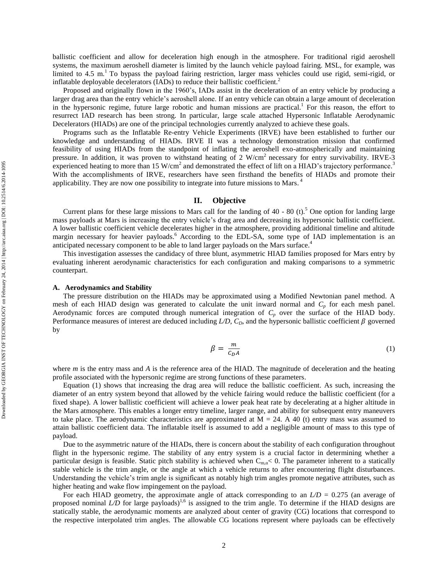ballistic coefficient and allow for deceleration high enough in the atmosphere. For traditional rigid aeroshell systems, the maximum aeroshell diameter is limited by the launch vehicle payload fairing. MSL, for example, was limited to 4.5 m.<sup>1</sup> To bypass the payload fairing restriction, larger mass vehicles could use rigid, semi-rigid, or inflatable deployable decelerators (IADs) to reduce their ballistic coefficient.<sup>2</sup>

Proposed and originally flown in the 1960's, IADs assist in the deceleration of an entry vehicle by producing a larger drag area than the entry vehicle's aeroshell alone. If an entry vehicle can obtain a large amount of deceleration in the hypersonic regime, future large robotic and human missions are practical.<sup>1</sup> For this reason, the effort to resurrect IAD research has been strong. In particular, large scale attached Hypersonic Inflatable Aerodynamic Decelerators (HIADs) are one of the principal technologies currently analyzed to achieve these goals.

Programs such as the Inflatable Re-entry Vehicle Experiments (IRVE) have been established to further our knowledge and understanding of HIADs. IRVE II was a technology demonstration mission that confirmed feasibility of using HIADs from the standpoint of inflating the aeroshell exo-atmospherically and maintaining pressure. In addition, it was proven to withstand heating of 2  $W/cm<sup>2</sup>$  necessary for entry survivability. IRVE-3 experienced heating to more than 15 W/cm<sup>2</sup> and demonstrated the effect of lift on a HIAD's trajectory performance.<sup>3</sup> With the accomplishments of IRVE, researchers have seen firsthand the benefits of HIADs and promote their applicability. They are now one possibility to integrate into future missions to Mars.<sup>4</sup>

# **II. Objective**

Current plans for these large missions to Mars call for the landing of 40 - 80 (t).<sup>5</sup> One option for landing large mass payloads at Mars is increasing the entry vehicle's drag area and decreasing its hypersonic ballistic coefficient. A lower ballistic coefficient vehicle decelerates higher in the atmosphere, providing additional timeline and altitude margin necessary for heavier payloads.<sup>6</sup> According to the EDL-SA, some type of IAD implementation is an anticipated necessary component to be able to land larger payloads on the Mars surface. 4

This investigation assesses the candidacy of three blunt, asymmetric HIAD families proposed for Mars entry by evaluating inherent aerodynamic characteristics for each configuration and making comparisons to a symmetric counterpart.

#### **A. Aerodynamics and Stability**

The pressure distribution on the HIADs may be approximated using a Modified Newtonian panel method. A mesh of each HIAD design was generated to calculate the unit inward normal and *C<sup>p</sup>* for each mesh panel. Aerodynamic forces are computed through numerical integration of  $C_p$  over the surface of the HIAD body. Performance measures of interest are deduced including  $L/D$ ,  $C_D$ , and the hypersonic ballistic coefficient  $\beta$  governed by

$$
\beta = \frac{m}{c_D A} \tag{1}
$$

where *m* is the entry mass and *A* is the reference area of the HIAD. The magnitude of deceleration and the heating profile associated with the hypersonic regime are strong functions of these parameters.

Equation (1) shows that increasing the drag area will reduce the ballistic coefficient. As such, increasing the diameter of an entry system beyond that allowed by the vehicle fairing would reduce the ballistic coefficient (for a fixed shape). A lower ballistic coefficient will achieve a lower peak heat rate by decelerating at a higher altitude in the Mars atmosphere. This enables a longer entry timeline, larger range, and ability for subsequent entry maneuvers to take place. The aerodynamic characteristics are approximated at  $M = 24$ . A 40 (t) entry mass was assumed to attain ballistic coefficient data. The inflatable itself is assumed to add a negligible amount of mass to this type of payload.

Due to the asymmetric nature of the HIADs, there is concern about the stability of each configuration throughout flight in the hypersonic regime. The stability of any entry system is a crucial factor in determining whether a particular design is feasible. Static pitch stability is achieved when  $C_{m,q}$  < 0. The parameter inherent to a statically stable vehicle is the trim angle, or the angle at which a vehicle returns to after encountering flight disturbances. Understanding the vehicle's trim angle is significant as notably high trim angles promote negative attributes, such as higher heating and wake flow impingement on the payload.

For each HIAD geometry, the approximate angle of attack corresponding to an *L/D* = 0.275 (an average of proposed nominal  $\overline{LD}$  for large payloads)<sup>1,6</sup> is assigned to the trim angle. To determine if the HIAD designs are statically stable, the aerodynamic moments are analyzed about center of gravity (CG) locations that correspond to the respective interpolated trim angles. The allowable CG locations represent where payloads can be effectively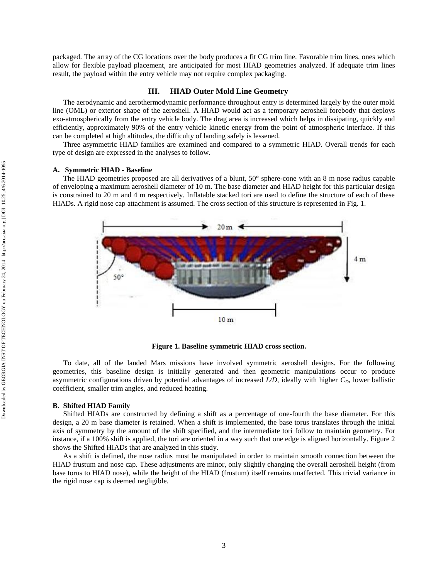packaged. The array of the CG locations over the body produces a fit CG trim line. Favorable trim lines, ones which allow for flexible payload placement, are anticipated for most HIAD geometries analyzed. If adequate trim lines result, the payload within the entry vehicle may not require complex packaging.

## **III. HIAD Outer Mold Line Geometry**

The aerodynamic and aerothermodynamic performance throughout entry is determined largely by the outer mold line (OML) or exterior shape of the aeroshell. A HIAD would act as a temporary aeroshell forebody that deploys exo-atmospherically from the entry vehicle body. The drag area is increased which helps in dissipating, quickly and efficiently, approximately 90% of the entry vehicle kinetic energy from the point of atmospheric interface. If this can be completed at high altitudes, the difficulty of landing safely is lessened.

Three asymmetric HIAD families are examined and compared to a symmetric HIAD. Overall trends for each type of design are expressed in the analyses to follow.

# **A. Symmetric HIAD - Baseline**

The HIAD geometries proposed are all derivatives of a blunt, 50**°** sphere-cone with an 8 m nose radius capable of enveloping a maximum aeroshell diameter of 10 m. The base diameter and HIAD height for this particular design is constrained to 20 m and 4 m respectively. Inflatable stacked tori are used to define the structure of each of these HIADs. A rigid nose cap attachment is assumed. The cross section of this structure is represented in Fig. 1.



**Figure 1. Baseline symmetric HIAD cross section.**

To date, all of the landed Mars missions have involved symmetric aeroshell designs. For the following geometries, this baseline design is initially generated and then geometric manipulations occur to produce asymmetric configurations driven by potential advantages of increased *L/D*, ideally with higher *CD*, lower ballistic coefficient, smaller trim angles, and reduced heating.

#### **B. Shifted HIAD Family**

Shifted HIADs are constructed by defining a shift as a percentage of one-fourth the base diameter. For this design, a 20 m base diameter is retained. When a shift is implemented, the base torus translates through the initial axis of symmetry by the amount of the shift specified, and the intermediate tori follow to maintain geometry. For instance, if a 100% shift is applied, the tori are oriented in a way such that one edge is aligned horizontally. Figure 2 shows the Shifted HIADs that are analyzed in this study.

As a shift is defined, the nose radius must be manipulated in order to maintain smooth connection between the HIAD frustum and nose cap. These adjustments are minor, only slightly changing the overall aeroshell height (from base torus to HIAD nose), while the height of the HIAD (frustum) itself remains unaffected. This trivial variance in the rigid nose cap is deemed negligible.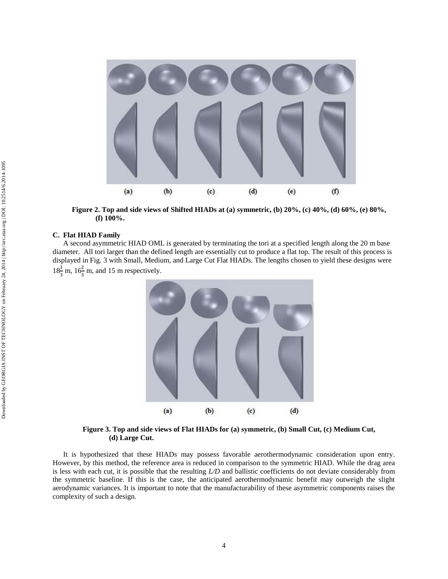

**Figure 2. Top and side views of Shifted HIADs at (a) symmetric, (b) 20%, (c) 40%, (d) 60%, (e) 80%, (f) 100%.**

#### **C. Flat HIAD Family**

A second asymmetric HIAD OML is generated by terminating the tori at a specified length along the 20 m base diameter. All tori larger than the defined length are essentially cut to produce a flat top. The result of this process is displayed in Fig. 3 with Small, Medium, and Large Cut Flat HIADs. The lengths chosen to yield these designs were  $18\frac{1}{3}$  m,  $16\frac{2}{3}$  m, and 15 m respectively.



**Figure 3. Top and side views of Flat HIADs for (a) symmetric, (b) Small Cut, (c) Medium Cut, (d) Large Cut.**

It is hypothesized that these HIADs may possess favorable aerothermodynamic consideration upon entry. However, by this method, the reference area is reduced in comparison to the symmetric HIAD. While the drag area is less with each cut, it is possible that the resulting *L/D* and ballistic coefficients do not deviate considerably from the symmetric baseline. If this is the case, the anticipated aerothermodynamic benefit may outweigh the slight aerodynamic variances. It is important to note that the manufacturability of these asymmetric components raises the complexity of such a design.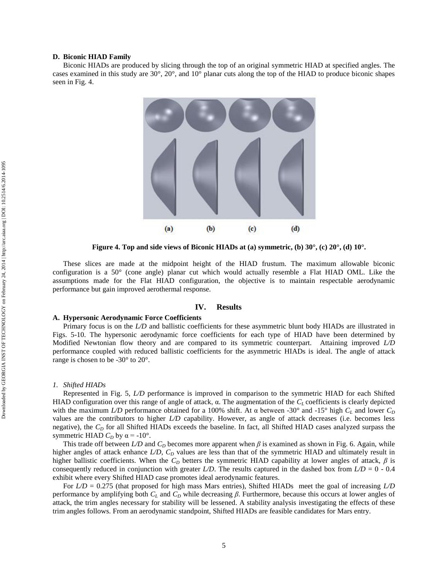#### **D. Biconic HIAD Family**

Biconic HIADs are produced by slicing through the top of an original symmetric HIAD at specified angles. The cases examined in this study are 30°, 20°, and 10° planar cuts along the top of the HIAD to produce biconic shapes seen in Fig. 4.



**Figure 4. Top and side views of Biconic HIADs at (a) symmetric, (b) 30°, (c) 20°, (d) 10°.**

These slices are made at the midpoint height of the HIAD frustum. The maximum allowable biconic configuration is a 50° (cone angle) planar cut which would actually resemble a Flat HIAD OML. Like the assumptions made for the Flat HIAD configuration, the objective is to maintain respectable aerodynamic performance but gain improved aerothermal response.

#### **IV. Results**

# **A. Hypersonic Aerodynamic Force Coefficients**

Primary focus is on the *L/D* and ballistic coefficients for these asymmetric blunt body HIADs are illustrated in Figs. 5-10. The hypersonic aerodynamic force coefficients for each type of HIAD have been determined by Modified Newtonian flow theory and are compared to its symmetric counterpart. Attaining improved *L/D* performance coupled with reduced ballistic coefficients for the asymmetric HIADs is ideal. The angle of attack range is chosen to be -30° to 20°.

#### *1. Shifted HIADs*

Represented in Fig. 5, *L/D* performance is improved in comparison to the symmetric HIAD for each Shifted HIAD configuration over this range of angle of attack, α. The augmentation of the *C<sup>L</sup>* coefficients is clearly depicted with the maximum *L/D* performance obtained for a 100% shift. At  $\alpha$  between -30° and -15° high  $C_L$  and lower  $C_D$ values are the contributors to higher *L/D* capability. However, as angle of attack decreases (i.e. becomes less negative), the  $C<sub>D</sub>$  for all Shifted HIADs exceeds the baseline. In fact, all Shifted HIAD cases analyzed surpass the symmetric HIAD  $C_D$  by  $\alpha = -10^\circ$ .

This trade off between *L/D* and *C<sup>D</sup>* becomes more apparent when *β* is examined as shown in Fig. 6. Again, while higher angles of attack enhance *L/D*,  $C<sub>D</sub>$  values are less than that of the symmetric HIAD and ultimately result in higher ballistic coefficients. When the *C<sup>D</sup>* betters the symmetric HIAD capability at lower angles of attack, *β* is consequently reduced in conjunction with greater *L/D*. The results captured in the dashed box from  $LD = 0 - 0.4$ exhibit where every Shifted HIAD case promotes ideal aerodynamic features.

For  $L/D = 0.275$  (that proposed for high mass Mars entries), Shifted HIADs meet the goal of increasing  $L/D$ performance by amplifying both *C<sup>L</sup>* and *C<sup>D</sup>* while decreasing *β*. Furthermore, because this occurs at lower angles of attack, the trim angles necessary for stability will be lessened. A stability analysis investigating the effects of these trim angles follows. From an aerodynamic standpoint, Shifted HIADs are feasible candidates for Mars entry.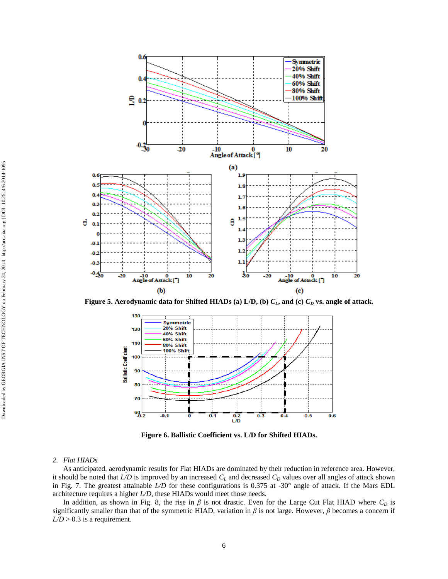

**Figure 5. Aerodynamic data for Shifted HIADs (a) L/D, (b)** *CL***, and (c)** *C<sup>D</sup>* **vs. angle of attack.**



**Figure 6. Ballistic Coefficient vs. L/D for Shifted HIADs.**

# *2. Flat HIADs*

As anticipated, aerodynamic results for Flat HIADs are dominated by their reduction in reference area. However, it should be noted that  $LD$  is improved by an increased  $C_L$  and decreased  $C_D$  values over all angles of attack shown in Fig. 7. The greatest attainable *L/D* for these configurations is 0.375 at -30° angle of attack. If the Mars EDL architecture requires a higher *L/D*, these HIADs would meet those needs.

In addition, as shown in Fig. 8, the rise in  $\beta$  is not drastic. Even for the Large Cut Flat HIAD where  $C_D$  is significantly smaller than that of the symmetric HIAD, variation in  $\beta$  is not large. However,  $\beta$  becomes a concern if  $L/D > 0.3$  is a requirement.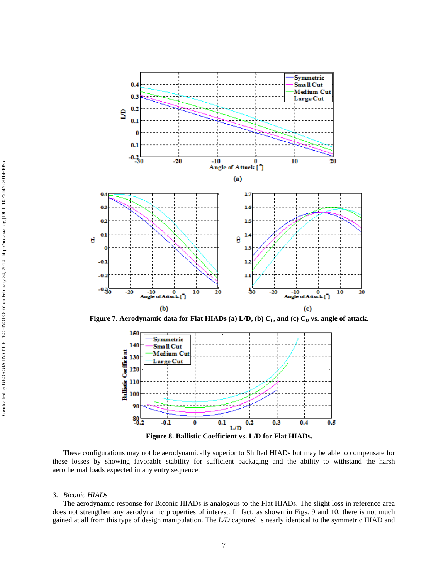

**Figure 7. Aerodynamic data for Flat HIADs (a) L/D, (b)** *CL***, and (c)** *C<sup>D</sup>* **vs. angle of attack.**



**Figure 8. Ballistic Coefficient vs. L/D for Flat HIADs.**

These configurations may not be aerodynamically superior to Shifted HIADs but may be able to compensate for these losses by showing favorable stability for sufficient packaging and the ability to withstand the harsh aerothermal loads expected in any entry sequence.

## *3. Biconic HIADs*

The aerodynamic response for Biconic HIADs is analogous to the Flat HIADs. The slight loss in reference area does not strengthen any aerodynamic properties of interest. In fact, as shown in Figs. 9 and 10, there is not much gained at all from this type of design manipulation. The *L/D* captured is nearly identical to the symmetric HIAD and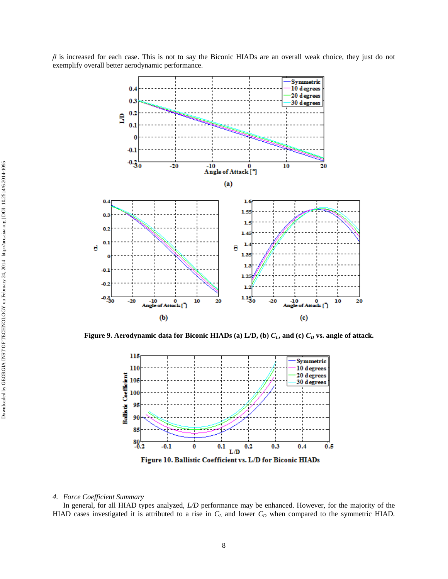*β* is increased for each case. This is not to say the Biconic HIADs are an overall weak choice, they just do not exemplify overall better aerodynamic performance.



**Figure 9. Aerodynamic data for Biconic HIADs (a) L/D, (b)** *CL***, and (c)** *C<sup>D</sup>* **vs. angle of attack.**



#### *4. Force Coefficient Summary*

In general, for all HIAD types analyzed, *L/D* performance may be enhanced. However, for the majority of the HIAD cases investigated it is attributed to a rise in *C<sup>L</sup>* and lower *C<sup>D</sup>* when compared to the symmetric HIAD.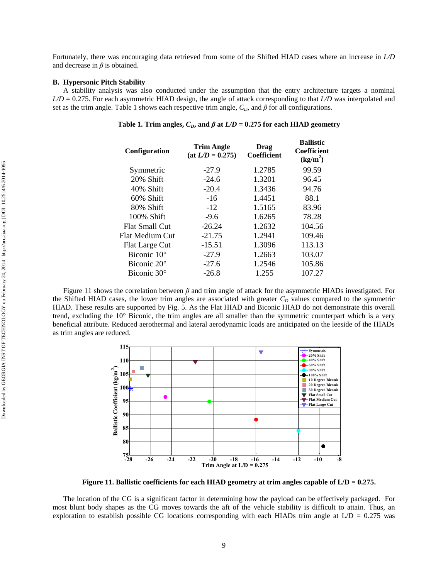Fortunately, there was encouraging data retrieved from some of the Shifted HIAD cases where an increase in *L/D* and decrease in *β* is obtained.

# **B. Hypersonic Pitch Stability**

A stability analysis was also conducted under the assumption that the entry architecture targets a nominal *L/D* = 0.275. For each asymmetric HIAD design, the angle of attack corresponding to that *L/D* was interpolated and set as the trim angle. Table 1 shows each respective trim angle,  $C_D$ , and  $\beta$  for all configurations.

| <b>Configuration</b>    | <b>Trim Angle</b><br>$(at L/D = 0.275)$ | Drag<br><b>Coefficient</b> | <b>Ballistic</b><br><b>Coefficient</b><br>(kg/m <sup>2</sup> ) |
|-------------------------|-----------------------------------------|----------------------------|----------------------------------------------------------------|
| Symmetric               | $-27.9$                                 | 1.2785                     | 99.59                                                          |
| 20% Shift               | $-24.6$                                 | 1.3201                     | 96.45                                                          |
| 40% Shift               | $-20.4$                                 | 1.3436                     | 94.76                                                          |
| $60\%$ Shift            | $-16$                                   | 1.4451                     | 88.1                                                           |
| 80% Shift               | $-12$                                   | 1.5165                     | 83.96                                                          |
| 100% Shift              | $-9.6$                                  | 1.6265                     | 78.28                                                          |
| <b>Flat Small Cut</b>   | $-26.24$                                | 1.2632                     | 104.56                                                         |
| <b>Flat Medium Cut</b>  | $-21.75$                                | 1.2941                     | 109.46                                                         |
| <b>Flat Large Cut</b>   | $-15.51$                                | 1.3096                     | 113.13                                                         |
| Biconic $10^{\circ}$    | $-27.9$                                 | 1.2663                     | 103.07                                                         |
| Biconic $20^{\circ}$    | $-27.6$                                 | 1.2546                     | 105.86                                                         |
| Biconic 30 <sup>°</sup> | $-26.8$                                 | 1.255                      | 107.27                                                         |

Table 1. Trim angles,  $C_D$ , and  $\beta$  at  $L/D = 0.275$  for each HIAD geometry

Figure 11 shows the correlation between *β* and trim angle of attack for the asymmetric HIADs investigated. For the Shifted HIAD cases, the lower trim angles are associated with greater  $C<sub>D</sub>$  values compared to the symmetric HIAD. These results are supported by Fig. 5. As the Flat HIAD and Biconic HIAD do not demonstrate this overall trend, excluding the 10° Biconic, the trim angles are all smaller than the symmetric counterpart which is a very beneficial attribute. Reduced aerothermal and lateral aerodynamic loads are anticipated on the leeside of the HIADs as trim angles are reduced.



**Figure 11. Ballistic coefficients for each HIAD geometry at trim angles capable of L/D = 0.275.**

The location of the CG is a significant factor in determining how the payload can be effectively packaged. For most blunt body shapes as the CG moves towards the aft of the vehicle stability is difficult to attain. Thus, an exploration to establish possible CG locations corresponding with each HIADs trim angle at  $L/D = 0.275$  was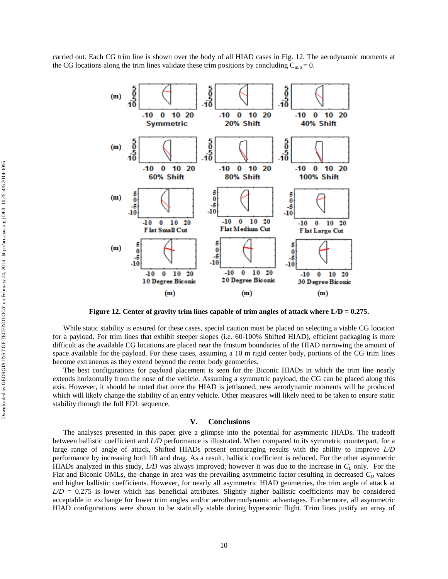carried out. Each CG trim line is shown over the body of all HIAD cases in Fig. 12. The aerodynamic moments at the CG locations along the trim lines validate these trim positions by concluding  $C_{m\alpha} = 0$ .



**Figure 12. Center of gravity trim lines capable of trim angles of attack where L/D = 0.275.**

While static stability is ensured for these cases, special caution must be placed on selecting a viable CG location for a payload. For trim lines that exhibit steeper slopes (i.e. 60-100% Shifted HIAD), efficient packaging is more difficult as the available CG locations are placed near the frustum boundaries of the HIAD narrowing the amount of space available for the payload. For these cases, assuming a 10 m rigid center body, portions of the CG trim lines become extraneous as they extend beyond the center body geometries.

The best configurations for payload placement is seen for the Biconic HIADs in which the trim line nearly extends horizontally from the nose of the vehicle. Assuming a symmetric payload, the CG can be placed along this axis. However, it should be noted that once the HIAD is jettisoned, new aerodynamic moments will be produced which will likely change the stability of an entry vehicle. Other measures will likely need to be taken to ensure static stability through the full EDL sequence.

# **V. Conclusions**

The analyses presented in this paper give a glimpse into the potential for asymmetric HIADs. The tradeoff between ballistic coefficient and *L/D* performance is illustrated. When compared to its symmetric counterpart, for a large range of angle of attack, Shifted HIADs present encouraging results with the ability to improve *L/D* performance by increasing both lift and drag. As a result, ballistic coefficient is reduced. For the other asymmetric HIADs analyzed in this study, *L/D* was always improved; however it was due to the increase in *C<sup>L</sup>* only. For the Flat and Biconic OMLs, the change in area was the prevailing asymmetric factor resulting in decreased  $C<sub>D</sub>$  values and higher ballistic coefficients. However, for nearly all asymmetric HIAD geometries, the trim angle of attack at  $LD = 0.275$  is lower which has beneficial attributes. Slightly higher ballistic coefficients may be considered acceptable in exchange for lower trim angles and/or aerothermodynamic advantages. Furthermore, all asymmetric HIAD configurations were shown to be statically stable during hypersonic flight. Trim lines justify an array of